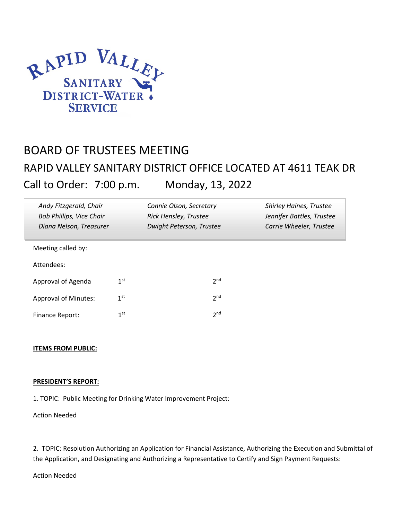

# BOARD OF TRUSTEES MEETING RAPID VALLEY SANITARY DISTRICT OFFICE LOCATED AT 4611 TEAK DR Call to Order: 7:00 p.m. Monday, 13, 2022

| Andy Fitzgerald, Chair<br><b>Bob Phillips, Vice Chair</b><br>Diana Nelson, Treasurer |                 | Connie Olson, Secretary<br>Rick Hensley, Trustee<br>Dwight Peterson, Trustee |                 | <b>Shirley Haines, Trustee</b><br>Jennifer Battles, Trustee<br>Carrie Wheeler, Trustee |
|--------------------------------------------------------------------------------------|-----------------|------------------------------------------------------------------------------|-----------------|----------------------------------------------------------------------------------------|
| Meeting called by:                                                                   |                 |                                                                              |                 |                                                                                        |
| Attendees:                                                                           |                 |                                                                              |                 |                                                                                        |
| Approval of Agenda                                                                   | 1 <sup>st</sup> |                                                                              | 2 <sub>nd</sub> |                                                                                        |
| <b>Approval of Minutes:</b>                                                          | 1 <sup>st</sup> |                                                                              | 2 <sup>nd</sup> |                                                                                        |
| <b>Finance Report:</b>                                                               | 1 <sup>st</sup> |                                                                              | 2 <sub>nd</sub> |                                                                                        |

# **ITEMS FROM PUBLIC:**

#### PRESIDENT'S REPORT:

1. TOPIC: Public Meeting for Drinking Water Improvement Project:

## Action Needed

2. TOPIC: Resolution Authorizing an Application for Financial Assistance, Authorizing the Execution and Submittal of the Application, and Designating and Authorizing a Representative to Certify and Sign Payment Requests:

#### Action Needed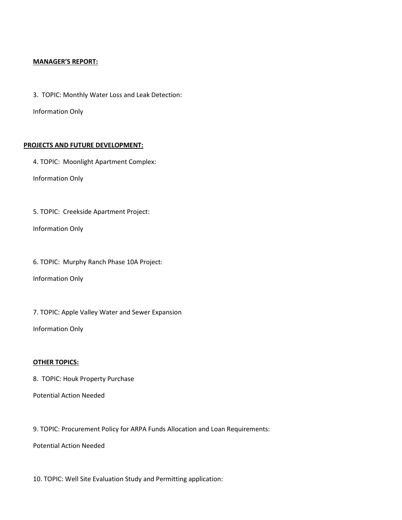#### MANAGER'S REPORT:

3. TOPIC: Monthly Water Loss and Leak Detection:

Information Only

## PROJECTS AND FUTURE DEVELOPMENT:

4. TOPIC: Moonlight Apartment Complex:

Information Only

5. TOPIC: Creekside Apartment Project:

Information Only

6. TOPIC: Murphy Ranch Phase 10A Project:

Information Only

7. TOPIC: Apple Valley Water and Sewer Expansion

Information Only

# OTHER TOPICS:

8. TOPIC: Houk Property Purchase

Potential Action Needed

9. TOPIC: Procurement Policy for ARPA Funds Allocation and Loan Requirements:

Potential Action Needed

10. TOPIC: Well Site Evaluation Study and Permitting application: